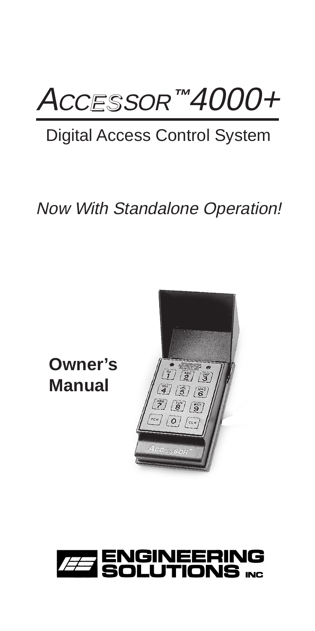## AccEssor™4000+

### Digital Access Control System

### Now With Standalone Operation!

**Owner's Manual**



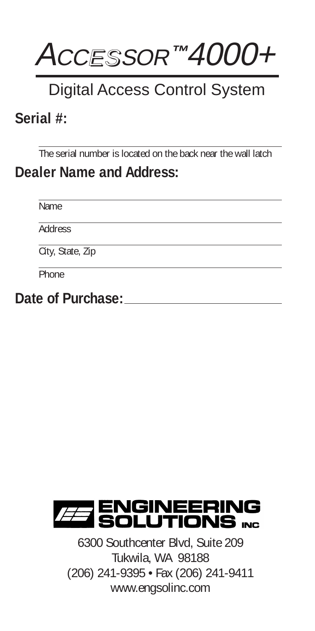

### Digital Access Control System

### **Serial #:**

The serial number is located on the back near the wall latch

### **Dealer Name and Address:**

Name

**Address** 

City, State, Zip

**Phone** 

**Date of Purchase:**



6300 Southcenter Blvd, Suite 209 Tukwila, WA 98188 (206) 241-9395 • Fax (206) 241-9411 www.engsolinc.com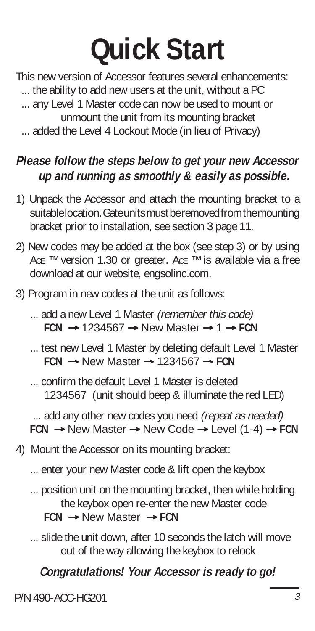## **Quick Start**

This new version of Accessor features several enhancements:

... the ability to add new users at the unit, without a PC

- ... any Level 1 Master code can now be used to mount or unmount the unit from its mounting bracket
- ... added the Level 4 Lockout Mode (in lieu of Privacy)

#### **Please follow the steps below to get your new Accessor up and running as smoothly & easily as possible.**

- 1) Unpack the Accessor and attach the mounting bracket to a suitable location. Gate units must be removed from the mounting bracket prior to installation, see section 3 page 11.
- 2) New codes may be added at the box (see step 3) or by using AcE ™ version 1.30 or greater. AcE ™ is available via a free download at our website, engsolinc.com.
- 3) Program in new codes at the unit as follows:
	- ... add a new Level 1 Master (remember this code) **FCN** → 1234567 → New Master → 1 → **FCN**
	- ... test new Level 1 Master by deleting default Level 1 Master **FCN** → New Master → 1234567 → **FCN**

... confirm the default Level 1 Master is deleted 1234567 (unit should beep & illuminate the red LED)

... add any other new codes you need (repeat as needed) **FCN** → New Master → New Code → Level (1-4) → **FCN**

- 4) Mount the Accessor on its mounting bracket:
	- ... enter your new Master code & lift open the keybox
	- ... position unit on the mounting bracket, then while holding the keybox open re-enter the new Master code **FCN** → New Master → **FCN**
	- ... slide the unit down, after 10 seconds the latch will move out of the way allowing the keybox to relock

#### **Congratulations! Your Accessor is ready to go!**

P/N 490-ACC-HG201 3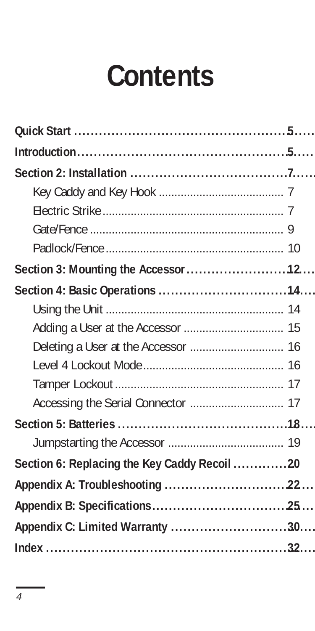## **Contents**

| Section 3: Mounting the Accessor 12          |  |
|----------------------------------------------|--|
|                                              |  |
|                                              |  |
|                                              |  |
|                                              |  |
|                                              |  |
|                                              |  |
|                                              |  |
|                                              |  |
|                                              |  |
| Section 6: Replacing the Key Caddy Recoil 20 |  |
|                                              |  |
|                                              |  |
| Appendix C: Limited Warranty 30              |  |
|                                              |  |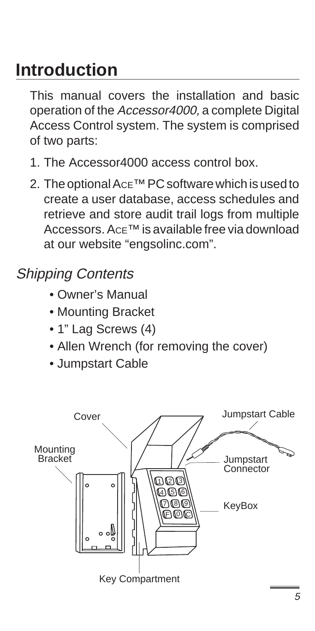### **Introduction**

This manual covers the installation and basic operation of the Accessor4000, a complete Digital Access Control system. The system is comprised of two parts:

- 1. The Accessor4000 access control box.
- 2. The optional AcE<sup>™</sup> PC software which is used to create a user database, access schedules and retrieve and store audit trail logs from multiple Accessors. ACE™ is available free via download at our website "engsolinc.com".

### Shipping Contents

- Owner's Manual
- Mounting Bracket
- 1" Lag Screws (4)
- Allen Wrench (for removing the cover)
- Jumpstart Cable

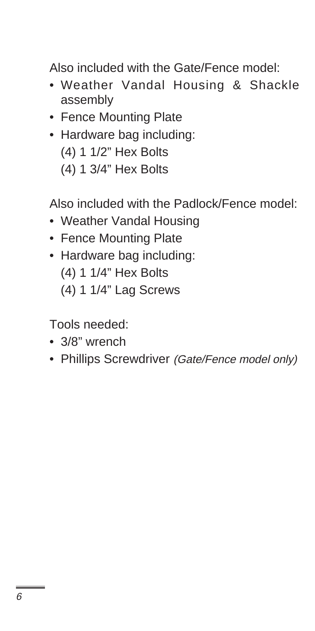Also included with the Gate/Fence model:

- Weather Vandal Housing & Shackle assembly
- Fence Mounting Plate
- Hardware bag including: (4) 1 1/2" Hex Bolts (4) 1 3/4" Hex Bolts

Also included with the Padlock/Fence model:

- Weather Vandal Housing
- Fence Mounting Plate
- Hardware bag including:
	- (4) 1 1/4" Hex Bolts
	- (4) 1 1/4" Lag Screws

Tools needed:

- 3/8" wrench
- Phillips Screwdriver (Gate/Fence model only)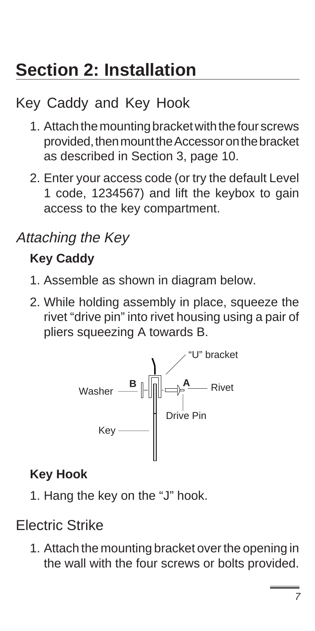## **Section 2: Installation**

### Key Caddy and Key Hook

- 1. Attach the mounting bracket with the four screws provided, then mount the Accessor on the bracket as described in Section 3, page 10.
- 2. Enter your access code (or try the default Level 1 code, 1234567) and lift the keybox to gain access to the key compartment.

### Attaching the Key

### **Key Caddy**

- 1. Assemble as shown in diagram below.
- 2. While holding assembly in place, squeeze the rivet "drive pin" into rivet housing using a pair of pliers squeezing A towards B.



### **Key Hook**

1. Hang the key on the "J" hook.

### Electric Strike

1. Attach the mounting bracket over the opening in the wall with the four screws or bolts provided.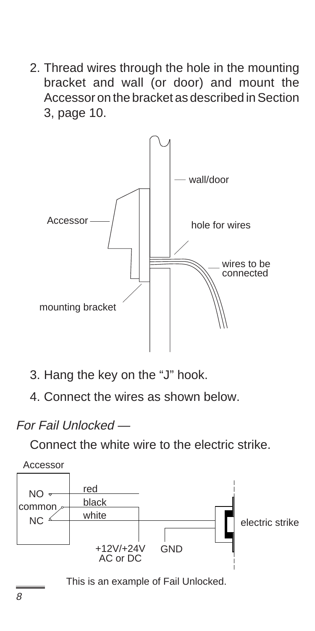2. Thread wires through the hole in the mounting bracket and wall (or door) and mount the Accessor on the bracket as described in Section 3, page 10.



- 3. Hang the key on the "J" hook.
- 4. Connect the wires as shown below.

#### For Fail Unlocked —

Connect the white wire to the electric strike.



This is an example of Fail Unlocked.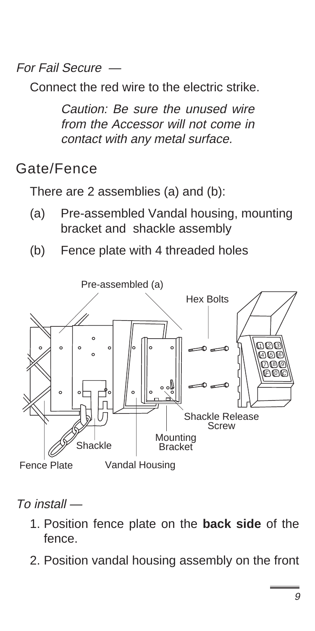For Fail Secure —

Connect the red wire to the electric strike.

Caution: Be sure the unused wire from the Accessor will not come in contact with any metal surface.

### Gate/Fence

There are 2 assemblies (a) and (b):

- (a) Pre-assembled Vandal housing, mounting bracket and shackle assembly
- (b) Fence plate with 4 threaded holes



To install —

- 1. Position fence plate on the **back side** of the fence.
- 2. Position vandal housing assembly on the front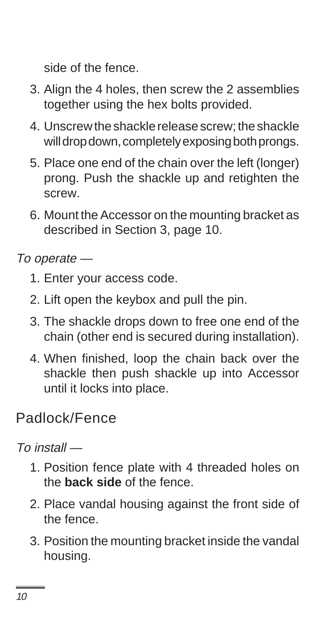side of the fence.

- 3. Align the 4 holes, then screw the 2 assemblies together using the hex bolts provided.
- 4. Unscrew the shackle release screw; the shackle will drop down, completely exposing both prongs.
- 5. Place one end of the chain over the left (longer) prong. Push the shackle up and retighten the screw.
- 6. Mount the Accessor on the mounting bracket as described in Section 3, page 10.

To operate —

- 1. Enter your access code.
- 2. Lift open the keybox and pull the pin.
- 3. The shackle drops down to free one end of the chain (other end is secured during installation).
- 4. When finished, loop the chain back over the shackle then push shackle up into Accessor until it locks into place.

### Padlock/Fence

 $T_0$  install  $-$ 

- 1. Position fence plate with 4 threaded holes on the **back side** of the fence.
- 2. Place vandal housing against the front side of the fence.
- 3. Position the mounting bracket inside the vandal housing.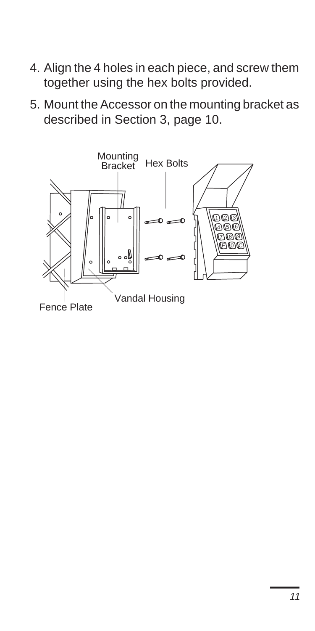- 4. Align the 4 holes in each piece, and screw them together using the hex bolts provided.
- 5. Mount the Accessor on the mounting bracket as described in Section 3, page 10.

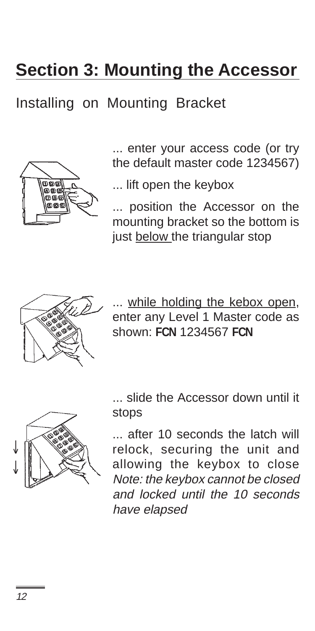### **Section 3: Mounting the Accessor**

### Installing on Mounting Bracket



... enter your access code (or try the default master code 1234567)

... lift open the keybox

... position the Accessor on the mounting bracket so the bottom is just below the triangular stop



... while holding the kebox open, enter any Level 1 Master code as shown: **FCN** 1234567 **FCN**



... slide the Accessor down until it stops

... after 10 seconds the latch will relock, securing the unit and allowing the keybox to close Note: the keybox cannot be closed and locked until the 10 seconds have elapsed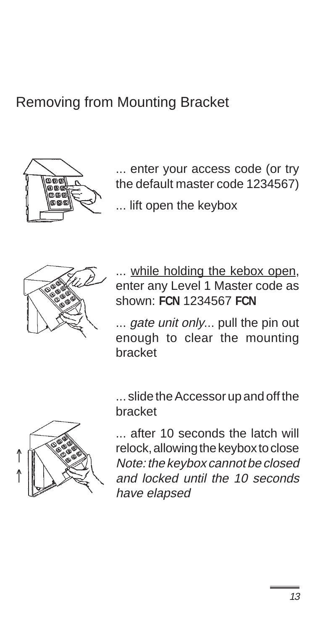### Removing from Mounting Bracket



... enter your access code (or try the default master code 1234567)

... lift open the keybox



... while holding the kebox open, enter any Level 1 Master code as shown: **FCN** 1234567 **FCN**

... *gate unit only...* pull the pin out enough to clear the mounting bracket

... slide the Accessor up and off the bracket



... after 10 seconds the latch will relock, allowing the keybox to close Note: the keybox cannot be closed and locked until the 10 seconds have elapsed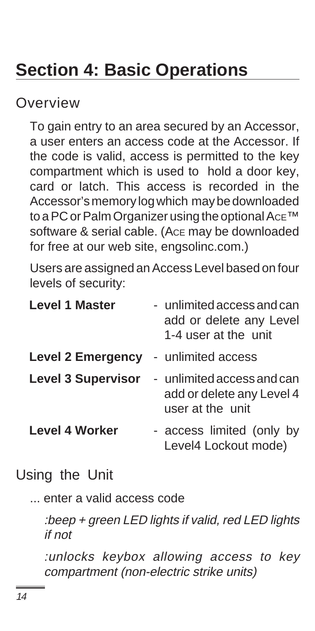### **Section 4: Basic Operations**

Overview

To gain entry to an area secured by an Accessor, a user enters an access code at the Accessor. If the code is valid, access is permitted to the key compartment which is used to hold a door key, card or latch. This access is recorded in the Accessor's memory log which may be downloaded to a PC or Palm Organizer using the optional Ace™ software & serial cable. (ACE may be downloaded for free at our web site, engsolinc.com.)

Users are assigned an Access Level based on four levels of security:

| <b>Level 1 Master</b>     | - unlimited access and can<br>add or delete any Level<br>1-4 user at the unit |
|---------------------------|-------------------------------------------------------------------------------|
| <b>Level 2 Emergency</b>  | - unlimited access                                                            |
| <b>Level 3 Supervisor</b> | - unlimited access and can<br>add or delete any Level 4<br>user at the unit   |
| <b>Level 4 Worker</b>     | - access limited (only by<br>Level4 Lockout mode)                             |

### Using the Unit

... enter a valid access code

:beep + green LED lights if valid, red LED lights if not

:unlocks keybox allowing access to key compartment (non-electric strike units)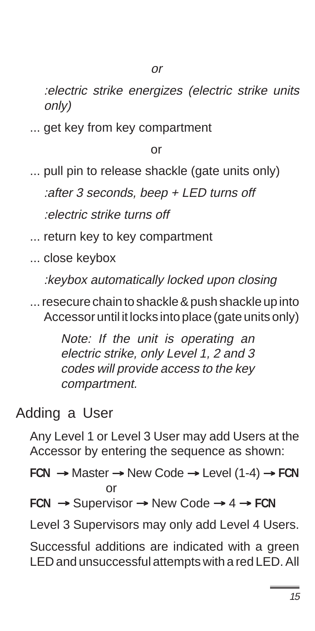:electric strike energizes (electric strike units only)

... get key from key compartment

or

... pull pin to release shackle (gate units only) :after 3 seconds, beep + LED turns off :electric strike turns off

... return key to key compartment

... close keybox

:keybox automatically locked upon closing

... resecure chain to shackle & push shackle up into Accessor until it locks into place (gate units only)

> Note: If the unit is operating an electric strike, only Level 1, 2 and 3 codes will provide access to the key compartment.

### Adding a User

Any Level 1 or Level 3 User may add Users at the Accessor by entering the sequence as shown:

**FCN** → Master → New Code → Level (1-4) → **FCN** or

**FCN** → Supervisor → New Code → 4 → **FCN**

Level 3 Supervisors may only add Level 4 Users.

Successful additions are indicated with a green LED and unsuccessful attempts with a red LED. All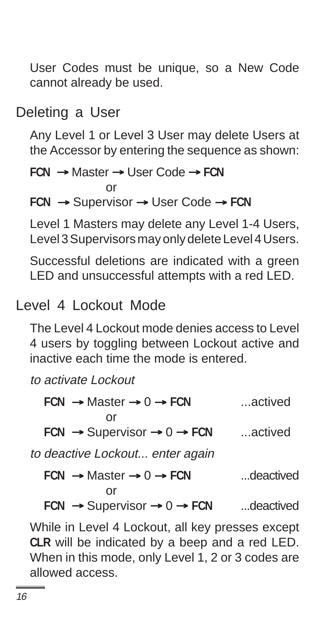User Codes must be unique, so a New Code cannot already be used.

#### Deleting a User

Any Level 1 or Level 3 User may delete Users at the Accessor by entering the sequence as shown:

```
FCN → Master → User Code → FCN
            or
FCN → Supervisor → User Code → FCN
```
Level 1 Masters may delete any Level 1-4 Users, Level 3 Supervisors may only delete Level 4 Users.

Successful deletions are indicated with a green LED and unsuccessful attempts with a red LED.

#### Level 4 Lockout Mode

The Level 4 Lockout mode denies access to Level 4 users by toggling between Lockout active and inactive each time the mode is entered.

to activate Lockout

| $FCN \rightarrow Master \rightarrow 0 \rightarrow FCN$               | actived   |
|----------------------------------------------------------------------|-----------|
| Ωr<br>FCN $\rightarrow$ Supervisor $\rightarrow$ 0 $\rightarrow$ FCN | actived   |
| to deactive Lockout enter again                                      |           |
| $FCN \rightarrow Master \rightarrow 0 \rightarrow FCN$               | deactived |
| or                                                                   |           |
| FCN $\rightarrow$ Supervisor $\rightarrow$ 0 $\rightarrow$ FCN       | deactived |

While in Level 4 Lockout, all key presses except **CLR** will be indicated by a beep and a red LED. When in this mode, only Level 1, 2 or 3 codes are allowed access.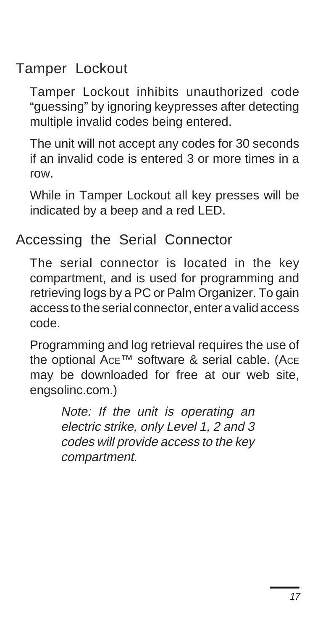### Tamper Lockout

Tamper Lockout inhibits unauthorized code "guessing" by ignoring keypresses after detecting multiple invalid codes being entered.

The unit will not accept any codes for 30 seconds if an invalid code is entered 3 or more times in a row.

While in Tamper Lockout all key presses will be indicated by a beep and a red LED.

### Accessing the Serial Connector

The serial connector is located in the key compartment, and is used for programming and retrieving logs by a PC or Palm Organizer. To gain access to the serial connector, enter a valid access code.

Programming and log retrieval requires the use of the optional AcE™ software & serial cable. (AcE may be downloaded for free at our web site, engsolinc.com.)

> Note: If the unit is operating an electric strike, only Level 1, 2 and 3 codes will provide access to the key compartment.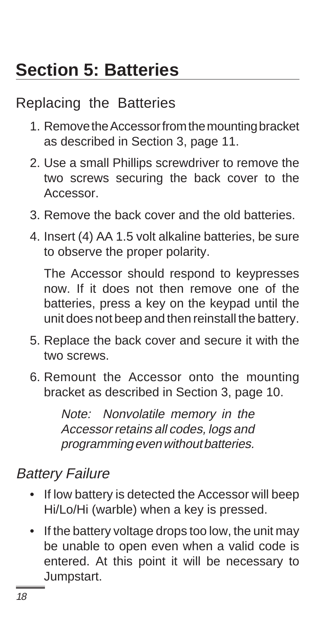### Replacing the Batteries

- 1. Remove the Accessor from the mounting bracket as described in Section 3, page 11.
- 2. Use a small Phillips screwdriver to remove the two screws securing the back cover to the Accessor.
- 3. Remove the back cover and the old batteries.
- 4. Insert (4) AA 1.5 volt alkaline batteries, be sure to observe the proper polarity.

The Accessor should respond to keypresses now. If it does not then remove one of the batteries, press a key on the keypad until the unit does not beep and then reinstall the battery.

- 5. Replace the back cover and secure it with the two screws.
- 6. Remount the Accessor onto the mounting bracket as described in Section 3, page 10.

Note: Nonvolatile memory in the Accessor retains all codes, logs and programming even without batteries.

### Battery Failure

- If low battery is detected the Accessor will beep Hi/Lo/Hi (warble) when a key is pressed.
- If the battery voltage drops too low, the unit may be unable to open even when a valid code is entered. At this point it will be necessary to Jumpstart.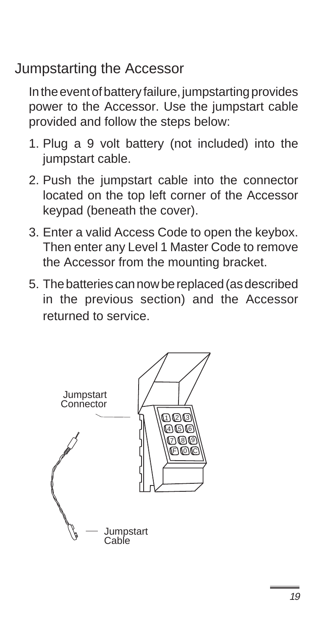### Jumpstarting the Accessor

In the event of battery failure, jumpstarting provides power to the Accessor. Use the jumpstart cable provided and follow the steps below:

- 1. Plug a 9 volt battery (not included) into the jumpstart cable.
- 2. Push the jumpstart cable into the connector located on the top left corner of the Accessor keypad (beneath the cover).
- 3. Enter a valid Access Code to open the keybox. Then enter any Level 1 Master Code to remove the Accessor from the mounting bracket.
- 5. The batteries can now be replaced (as described in the previous section) and the Accessor returned to service.

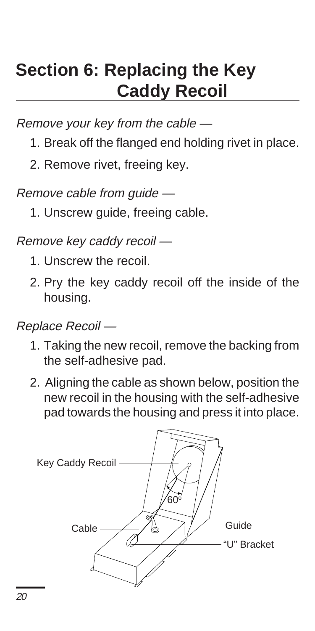### **Section 6: Replacing the Key Caddy Recoil**

Remove your key from the cable —

- 1. Break off the flanged end holding rivet in place.
- 2. Remove rivet, freeing key.

Remove cable from guide —

1. Unscrew guide, freeing cable.

Remove key caddy recoil —

- 1. Unscrew the recoil.
- 2. Pry the key caddy recoil off the inside of the housing.

Replace Recoil —

- 1. Taking the new recoil, remove the backing from the self-adhesive pad.
- 2. Aligning the cable as shown below, position the new recoil in the housing with the self-adhesive pad towards the housing and press it into place.

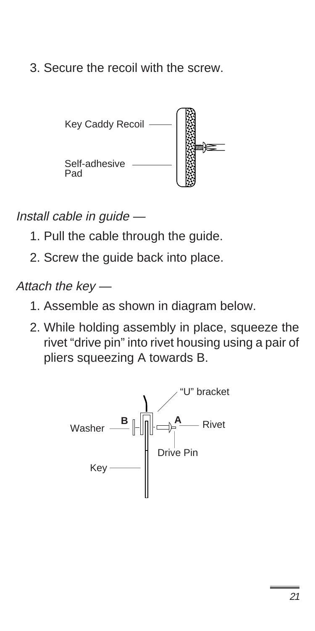3. Secure the recoil with the screw.



Install cable in guide —

- 1. Pull the cable through the guide.
- 2. Screw the guide back into place.

Attach the key —

- 1. Assemble as shown in diagram below.
- 2. While holding assembly in place, squeeze the rivet "drive pin" into rivet housing using a pair of pliers squeezing A towards B.

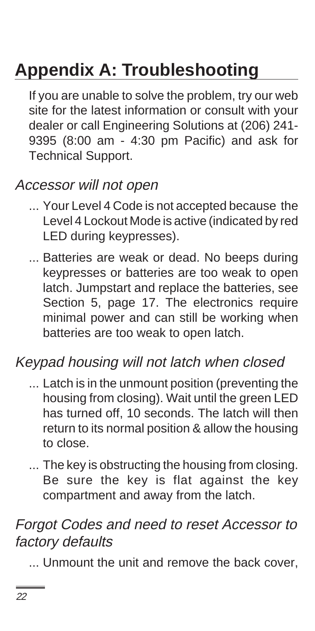## **Appendix A: Troubleshooting**

If you are unable to solve the problem, try our web site for the latest information or consult with your dealer or call Engineering Solutions at (206) 241- 9395 (8:00 am - 4:30 pm Pacific) and ask for Technical Support.

### Accessor will not open

- ... Your Level 4 Code is not accepted because the Level 4 Lockout Mode is active (indicated by red LED during keypresses).
- ... Batteries are weak or dead. No beeps during keypresses or batteries are too weak to open latch. Jumpstart and replace the batteries, see Section 5, page 17. The electronics require minimal power and can still be working when batteries are too weak to open latch.

#### Keypad housing will not latch when closed

- ... Latch is in the unmount position (preventing the housing from closing). Wait until the green LED has turned off, 10 seconds. The latch will then return to its normal position & allow the housing to close.
- ... The key is obstructing the housing from closing. Be sure the key is flat against the key compartment and away from the latch.

### Forgot Codes and need to reset Accessor to factory defaults

... Unmount the unit and remove the back cover,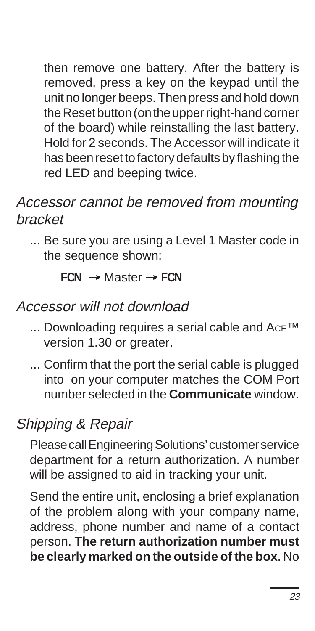then remove one battery. After the battery is removed, press a key on the keypad until the unit no longer beeps. Then press and hold down the Reset button (on the upper right-hand corner of the board) while reinstalling the last battery. Hold for 2 seconds. The Accessor will indicate it has been reset to factory defaults by flashing the red LED and beeping twice.

### Accessor cannot be removed from mounting bracket

... Be sure you are using a Level 1 Master code in the sequence shown:

**FCN** → Master → **FCN**

#### Accessor will not download

- ... Downloading requires a serial cable and Ace™ version 1.30 or greater.
- ... Confirm that the port the serial cable is plugged into on your computer matches the COM Port number selected in the **Communicate** window.

### Shipping & Repair

Please call Engineering Solutions' customer service department for a return authorization. A number will be assigned to aid in tracking your unit.

Send the entire unit, enclosing a brief explanation of the problem along with your company name, address, phone number and name of a contact person. **The return authorization number must be clearly marked on the outside of the box**. No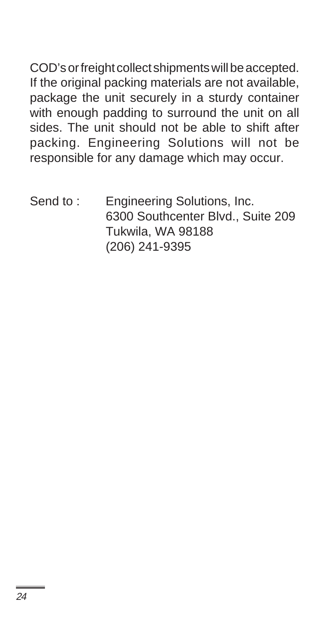COD's or freight collect shipments will be accepted. If the original packing materials are not available, package the unit securely in a sturdy container with enough padding to surround the unit on all sides. The unit should not be able to shift after packing. Engineering Solutions will not be responsible for any damage which may occur.

Send to: Engineering Solutions, Inc. 6300 Southcenter Blvd., Suite 209 Tukwila, WA 98188 (206) 241-9395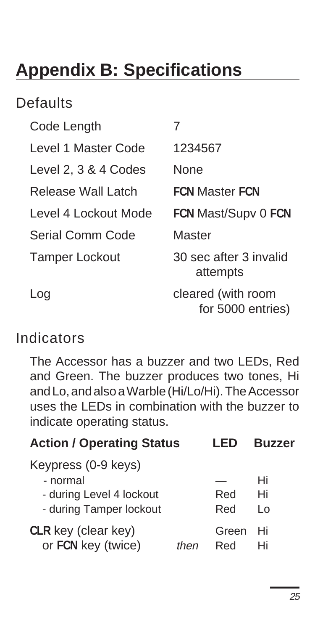### **Appendix B: Specifications**

### **Defaults**

| Code Length           |                                         |
|-----------------------|-----------------------------------------|
| Level 1 Master Code   | 1234567                                 |
| Level 2, 3 & 4 Codes  | None                                    |
| Release Wall Latch    | <b>FCN Master FCN</b>                   |
| Level 4 Lockout Mode  | FCN Mast/Supv 0 FCN                     |
| Serial Comm Code      | Master                                  |
| <b>Tamper Lockout</b> | 30 sec after 3 invalid<br>attempts      |
| Log                   | cleared (with room<br>for 5000 entries) |

### Indicators

The Accessor has a buzzer and two LEDs, Red and Green. The buzzer produces two tones, Hi and Lo, and also a Warble (Hi/Lo/Hi). The Accessor uses the LEDs in combination with the buzzer to indicate operating status.

| <b>Action / Operating Status</b> |      | l ED  | <b>Buzzer</b> |
|----------------------------------|------|-------|---------------|
| Keypress (0-9 keys)<br>- normal  |      |       | Hi            |
| - during Level 4 lockout         |      | Red   | Hi            |
| - during Tamper lockout          |      | Red   | I٥            |
| CLR key (clear key)              | then | Green | Hi            |
| or FCN key (twice)               |      | Red   | Hi            |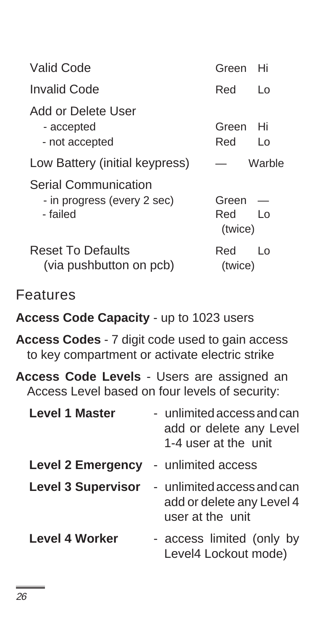| Valid Code                                                             | Hi<br>Green                                 |
|------------------------------------------------------------------------|---------------------------------------------|
| Invalid Code                                                           | Red<br>L٥                                   |
| Add or Delete User<br>- accepted<br>- not accepted                     | Green<br>Hi<br>Red<br>Lο                    |
| Low Battery (initial keypress)                                         | Warble                                      |
| <b>Serial Communication</b><br>- in progress (every 2 sec)<br>- failed | Green<br>Red<br>$\overline{1}$ 0<br>(twice) |
| <b>Reset To Defaults</b><br>(via pushbutton on pcb)                    | Red<br>I∩<br>(twice)                        |

### Features

#### **Access Code Capacity** - up to 1023 users

**Access Codes** - 7 digit code used to gain access to key compartment or activate electric strike

**Access Code Levels** - Users are assigned an Access Level based on four levels of security:

| <b>Level 1 Master</b>     | - unlimited access and can<br>add or delete any Level<br>1-4 user at the unit |
|---------------------------|-------------------------------------------------------------------------------|
| <b>Level 2 Emergency</b>  | - unlimited access                                                            |
| <b>Level 3 Supervisor</b> | - unlimited access and can<br>add or delete any Level 4<br>user at the unit   |
| <b>Level 4 Worker</b>     | - access limited (only by<br>Level4 Lockout mode)                             |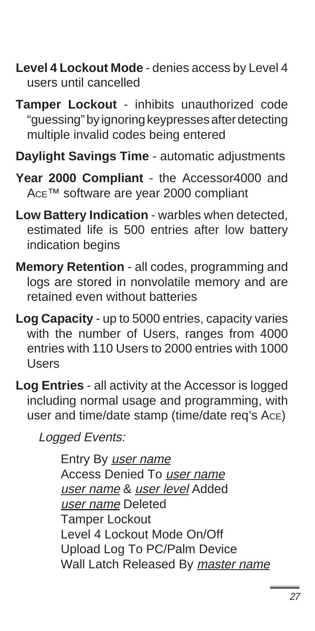- **Level 4 Lockout Mode** denies access by Level 4 users until cancelled
- **Tamper Lockout** inhibits unauthorized code "guessing" by ignoring keypresses after detecting multiple invalid codes being entered
- **Daylight Savings Time** automatic adjustments
- **Year 2000 Compliant**  the Accessor4000 and ACE™ software are year 2000 compliant
- **Low Battery Indication** warbles when detected, estimated life is 500 entries after low battery indication begins
- **Memory Retention** all codes, programming and logs are stored in nonvolatile memory and are retained even without batteries
- **Log Capacity**  up to 5000 entries, capacity varies with the number of Users, ranges from 4000 entries with 110 Users to 2000 entries with 1000 Users
- **Log Entries** all activity at the Accessor is logged including normal usage and programming, with user and time/date stamp (time/date req's ACE)

Logged Events:

Entry By user name Access Denied To user name user name & user level Added user name Deleted Tamper Lockout Level 4 Lockout Mode On/Off Upload Log To PC/Palm Device Wall Latch Released By master name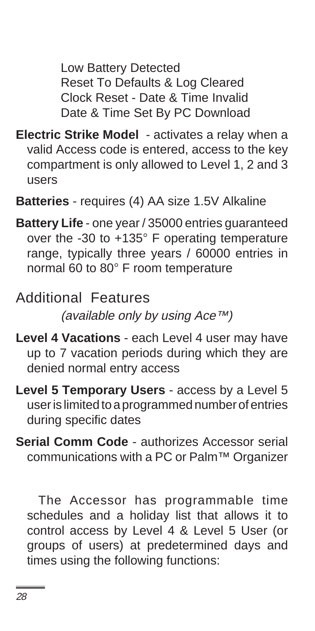Low Battery Detected Reset To Defaults & Log Cleared Clock Reset - Date & Time Invalid Date & Time Set By PC Download

- **Electric Strike Model**  activates a relay when a valid Access code is entered, access to the key compartment is only allowed to Level 1, 2 and 3 users
- **Batteries**  requires (4) AA size 1.5V Alkaline
- **Battery Life**  one year / 35000 entries guaranteed over the -30 to +135° F operating temperature range, typically three years / 60000 entries in normal 60 to 80° F room temperature

Additional Features (available only by using Ace™)

- **Level 4 Vacations** each Level 4 user may have up to 7 vacation periods during which they are denied normal entry access
- **Level 5 Temporary Users** access by a Level 5 user is limited to a programmed number of entries during specific dates
- **Serial Comm Code**  authorizes Accessor serial communications with a PC or Palm™ Organizer

The Accessor has programmable time schedules and a holiday list that allows it to control access by Level 4 & Level 5 User (or groups of users) at predetermined days and times using the following functions: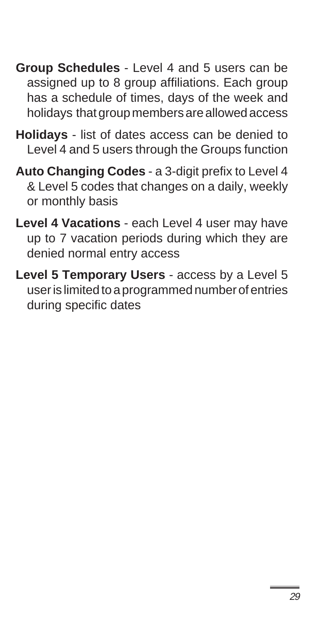- **Group Schedules** Level 4 and 5 users can be assigned up to 8 group affiliations. Each group has a schedule of times, days of the week and holidays that group members are allowed access
- **Holidays** list of dates access can be denied to Level 4 and 5 users through the Groups function
- **Auto Changing Codes** a 3-digit prefix to Level 4 & Level 5 codes that changes on a daily, weekly or monthly basis
- **Level 4 Vacations** each Level 4 user may have up to 7 vacation periods during which they are denied normal entry access
- **Level 5 Temporary Users** access by a Level 5 user is limited to a programmed number of entries during specific dates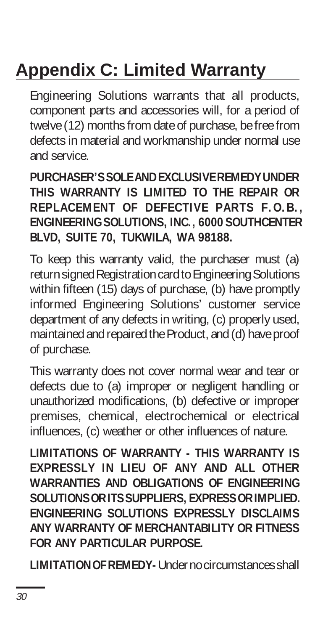## **Appendix C: Limited Warranty**

Engineering Solutions warrants that all products, component parts and accessories will, for a period of twelve (12) months from date of purchase, be free from defects in material and workmanship under normal use and service.

#### **PURCHASER'S SOLE AND EXCLUSIVE REMEDY UNDER THIS WARRANTY IS LIMITED TO THE REPAIR OR REPLACEMENT OF DEFECTIVE PARTS F.O.B., ENGINEERING SOLUTIONS, INC., 6000 SOUTHCENTER BLVD, SUITE 70, TUKWILA, WA 98188.**

To keep this warranty valid, the purchaser must (a) return signed Registration card to Engineering Solutions within fifteen (15) days of purchase, (b) have promptly informed Engineering Solutions' customer service department of any defects in writing, (c) properly used, maintained and repaired the Product, and (d) have proof of purchase.

This warranty does not cover normal wear and tear or defects due to (a) improper or negligent handling or unauthorized modifications, (b) defective or improper premises, chemical, electrochemical or electrical influences, (c) weather or other influences of nature.

**LIMITATIONS OF WARRANTY - THIS WARRANTY IS EXPRESSLY IN LIEU OF ANY AND ALL OTHER WARRANTIES AND OBLIGATIONS OF ENGINEERING SOLUTIONS OR ITS SUPPLIERS, EXPRESS OR IMPLIED. ENGINEERING SOLUTIONS EXPRESSLY DISCLAIMS ANY WARRANTY OF MERCHANTABILITY OR FITNESS FOR ANY PARTICULAR PURPOSE.** 

**LIMITATION OF REMEDY-** Under no circumstances shall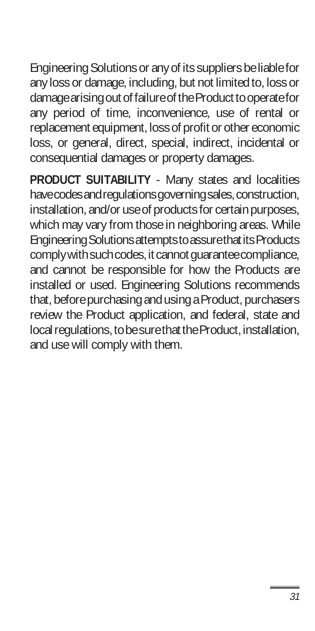Engineering Solutions or any of its suppliers be liable for any loss or damage, including, but not limited to, loss or damage arising out of failure of the Product to operate for any period of time, inconvenience, use of rental or replacement equipment, loss of profit or other economic loss, or general, direct, special, indirect, incidental or consequential damages or property damages.

**PRODUCT SUITABILITY** - Many states and localities have codes and regulations governing sales, construction, installation, and/or use of products for certain purposes, which may vary from those in neighboring areas. While Engineering Solutions attempts to assure that its Products comply with such codes, it cannot guarantee compliance, and cannot be responsible for how the Products are installed or used. Engineering Solutions recommends that, before purchasing and using a Product, purchasers review the Product application, and federal, state and local regulations, to be sure that the Product, installation, and use will comply with them.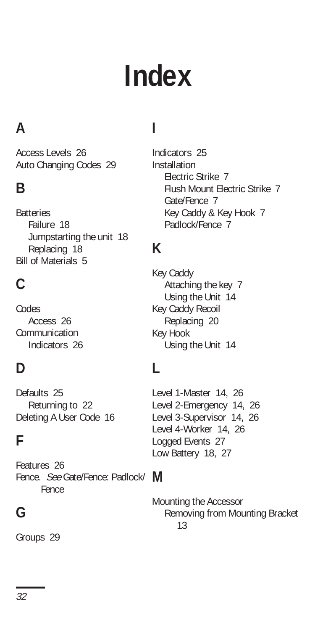# **Index**

### **A**

Access Levels 26 Auto Changing Codes 29

### **B**

**Batteries** Failure 18 Jumpstarting the unit 18 Replacing 18 Bill of Materials 5

### **C**

Codes Access 26 Communication Indicators 26

### **D**

Defaults 25 Returning to 22 Deleting A User Code 16

### **F**

Fence. See Gate/Fence: Padlock/ M Features 26 Fence

### **G**

Groups 29

### **I**

Indicators 25 Installation Electric Strike 7 Flush Mount Electric Strike 7 Gate/Fence 7 Key Caddy & Key Hook 7 Padlock/Fence 7

### **K**

Key Caddy Attaching the key 7 Using the Unit 14 Key Caddy Recoil Replacing 20 Key Hook Using the Unit 14

### **L**

Level 1-Master 14, 26 Level 2-Emergency 14, 26 Level 3-Supervisor 14, 26 Level 4-Worker 14, 26 Logged Events 27 Low Battery 18, 27

Mounting the Accessor Removing from Mounting Bracket 13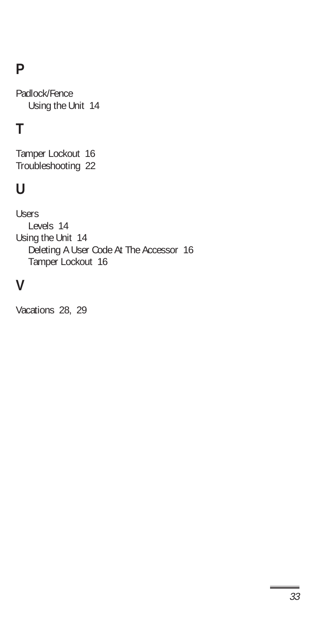### **P**

Padlock/Fence Using the Unit 14

### **T**

Tamper Lockout 16 Troubleshooting 22

### **U**

Users Levels 14 Using the Unit 14 Deleting A User Code At The Accessor 16 Tamper Lockout 16

### **V**

Vacations 28, 29

 $=$